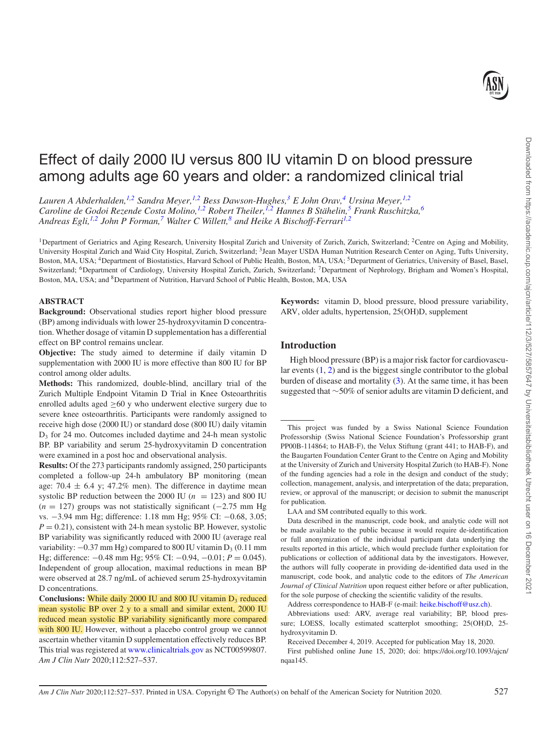Downloaded from https://academic.oup.com/ajcn/article/112/3/527/5857647 by Universiteitsbibliotheek Utrecht user on 16 December 202 Downloaded from https://academic.oup.com/ajcn/article/112/3/527/5857647 by Universiteitsbibliotheek Utrecht user on 16 December 2021

# Effect of daily 2000 IU versus 800 IU vitamin D on blood pressure among adults age 60 years and older: a randomized clinical trial

*Lauren A Abderhalden[,1,](#page-0-0)[2](#page-0-1) Sandra Meyer,[1,](#page-0-0)[2](#page-0-1) Bess Dawson-Hughes[,3](#page-0-2) E John Orav,[4](#page-0-3) Ursina Meyer,[1,](#page-0-0)[2](#page-0-1) Caroline de Godoi Rezende Costa Molino,[1](#page-0-0)[,2](#page-0-1) Robert Theiler[,1](#page-0-0)[,2](#page-0-1) Hannes B Stähelin[,5](#page-0-4) Frank Ruschitzka[,6](#page-0-5) Andreas Egli[,1,](#page-0-0)[2](#page-0-1) John P Forman,[7](#page-0-6) Walter C Willett,[8](#page-0-7) and Heike A Bischoff-Ferrar[i1,](#page-0-0)[2](#page-0-1)*

<span id="page-0-3"></span><span id="page-0-0"></span><sup>1</sup>Department of Geriatrics and Aging Research, University Hospital Zurich and University of Zurich, Zurich, Switzerland; <sup>2</sup>Centre on Aging and Mobility, University Hospital Zurich and Waid City Hospital, Zurich, Switzerland; 3Jean Mayer USDA Human Nutrition Research Center on Aging, Tufts University, Boston, MA, USA; <sup>4</sup>Department of Biostatistics, Harvard School of Public Health, Boston, MA, USA; <sup>5</sup>Department of Geriatrics, University of Basel, Basel, Switzerland; <sup>6</sup>Department of Cardiology, University Hospital Zurich, Zurich, Switzerland; <sup>7</sup>Department of Nephrology, Brigham and Women's Hospital, Boston, MA, USA; and <sup>8</sup>Department of Nutrition, Harvard School of Public Health, Boston, MA, USA

# <span id="page-0-7"></span><span id="page-0-5"></span>**ABSTRACT**

**Background:** Observational studies report higher blood pressure (BP) among individuals with lower 25-hydroxyvitamin D concentration. Whether dosage of vitamin D supplementation has a differential effect on BP control remains unclear.

**Objective:** The study aimed to determine if daily vitamin D supplementation with 2000 IU is more effective than 800 IU for BP control among older adults.

**Methods:** This randomized, double-blind, ancillary trial of the Zurich Multiple Endpoint Vitamin D Trial in Knee Osteoarthritis enrolled adults aged  $\geq 60$  y who underwent elective surgery due to severe knee osteoarthritis. Participants were randomly assigned to receive high dose (2000 IU) or standard dose (800 IU) daily vitamin  $D_3$  for 24 mo. Outcomes included daytime and 24-h mean systolic BP. BP variability and serum 25-hydroxyvitamin D concentration were examined in a post hoc and observational analysis.

**Results:** Of the 273 participants randomly assigned, 250 participants completed a follow-up 24-h ambulatory BP monitoring (mean age: 70.4  $\pm$  6.4 y; 47.2% men). The difference in daytime mean systolic BP reduction between the 2000 IU ( $n = 123$ ) and 800 IU (*n* = 127) groups was not statistically significant (−2.75 mm Hg vs. −3.94 mm Hg; difference: 1.18 mm Hg; 95% CI: −0.68, 3.05;  $P = 0.21$ , consistent with 24-h mean systolic BP. However, systolic BP variability was significantly reduced with 2000 IU (average real variability:  $-0.37$  mm Hg) compared to 800 IU vitamin D<sub>3</sub> (0.11 mm Hg; difference: −0.48 mm Hg; 95% CI: −0.94, −0.01; *P* = 0.045). Independent of group allocation, maximal reductions in mean BP were observed at 28.7 ng/mL of achieved serum 25-hydroxyvitamin D concentrations.

<span id="page-0-6"></span><span id="page-0-4"></span><span id="page-0-2"></span><span id="page-0-1"></span>**Keywords:** vitamin D, blood pressure, blood pressure variability, ARV, older adults, hypertension, 25(OH)D, supplement

# **Introduction**

High blood pressure (BP) is a major risk factor for cardiovascular events [\(1,](#page-9-0) [2\)](#page-9-1) and is the biggest single contributor to the global burden of disease and mortality [\(3\)](#page-9-2). At the same time, it has been suggested that ∼50% of senior adults are vitamin D deficient, and

This project was funded by a Swiss National Science Foundation Professorship (Swiss National Science Foundation's Professorship grant PP00B-114864; to HAB-F), the Velux Stiftung (grant 441; to HAB-F), and the Baugarten Foundation Center Grant to the Centre on Aging and Mobility at the University of Zurich and University Hospital Zurich (to HAB-F). None of the funding agencies had a role in the design and conduct of the study; collection, management, analysis, and interpretation of the data; preparation, review, or approval of the manuscript; or decision to submit the manuscript for publication.

Data described in the manuscript, code book, and analytic code will not be made available to the public because it would require de-identification or full anonymization of the individual participant data underlying the results reported in this article, which would preclude further exploitation for publications or collection of additional data by the investigators. However, the authors will fully cooperate in providing de-identified data used in the manuscript, code book, and analytic code to the editors of *The American Journal of Clinical Nutrition* upon request either before or after publication, for the sole purpose of checking the scientific validity of the results.

Address correspondence to HAB-F (e-mail: [heike.bischoff@usz.ch\)](mailto:heike.bischoff@usz.ch).

Abbreviations used: ARV, average real variability; BP, blood pressure; LOESS, locally estimated scatterplot smoothing; 25(OH)D, 25 hydroxyvitamin D.

Received December 4, 2019. Accepted for publication May 18, 2020.

First published online June 15, 2020; doi: https://doi.org/10.1093/ajcn/ nqaa145.

Conclusions: While daily 2000 IU and 800 IU vitamin D<sub>3</sub> reduced mean systolic BP over 2 y to a small and similar extent, 2000 IU reduced mean systolic BP variability significantly more compared with 800 IU. However, without a placebo control group we cannot ascertain whether vitamin D supplementation effectively reduces BP. This trial was registered at <www.clinicaltrials.gov> as NCT00599807. *Am J Clin Nutr* 2020;112:527–537.

LAA and SM contributed equally to this work.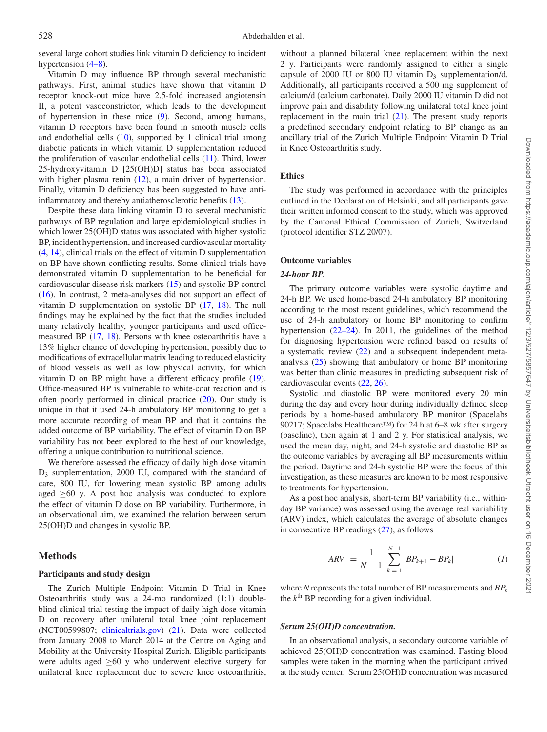several large cohort studies link vitamin D deficiency to incident hypertension  $(4–8)$ .

Vitamin D may influence BP through several mechanistic pathways. First, animal studies have shown that vitamin D receptor knock-out mice have 2.5-fold increased angiotensin II, a potent vasoconstrictor, which leads to the development of hypertension in these mice [\(9\)](#page-9-4). Second, among humans, vitamin D receptors have been found in smooth muscle cells and endothelial cells [\(10\)](#page-9-5), supported by 1 clinical trial among diabetic patients in which vitamin D supplementation reduced the proliferation of vascular endothelial cells [\(11\)](#page-9-6). Third, lower 25-hydroxyvitamin D [25(OH)D] status has been associated with higher plasma renin [\(12\)](#page-9-7), a main driver of hypertension. Finally, vitamin D deficiency has been suggested to have antiinflammatory and thereby antiatherosclerotic benefits [\(13\)](#page-9-8).

Despite these data linking vitamin D to several mechanistic pathways of BP regulation and large epidemiological studies in which lower 25(OH)D status was associated with higher systolic BP, incident hypertension, and increased cardiovascular mortality [\(4,](#page-9-3) [14\)](#page-9-9), clinical trials on the effect of vitamin D supplementation on BP have shown conflicting results. Some clinical trials have demonstrated vitamin D supplementation to be beneficial for cardiovascular disease risk markers [\(15\)](#page-9-10) and systolic BP control [\(16\)](#page-9-11). In contrast, 2 meta-analyses did not support an effect of vitamin D supplementation on systolic BP [\(17,](#page-9-12) [18\)](#page-9-13). The null findings may be explained by the fact that the studies included many relatively healthy, younger participants and used officemeasured BP [\(17,](#page-9-12) [18\)](#page-9-13). Persons with knee osteoarthritis have a 13% higher chance of developing hypertension, possibly due to modifications of extracellular matrix leading to reduced elasticity of blood vessels as well as low physical activity, for which vitamin D on BP might have a different efficacy profile [\(19\)](#page-9-14). Office-measured BP is vulnerable to white-coat reaction and is often poorly performed in clinical practice [\(20\)](#page-9-15). Our study is unique in that it used 24-h ambulatory BP monitoring to get a more accurate recording of mean BP and that it contains the added outcome of BP variability. The effect of vitamin D on BP variability has not been explored to the best of our knowledge, offering a unique contribution to nutritional science.

We therefore assessed the efficacy of daily high dose vitamin D3 supplementation, 2000 IU, compared with the standard of care, 800 IU, for lowering mean systolic BP among adults aged  $\geq 60$  y. A post hoc analysis was conducted to explore the effect of vitamin D dose on BP variability. Furthermore, in an observational aim, we examined the relation between serum 25(OH)D and changes in systolic BP.

# **Methods**

#### **Participants and study design**

The Zurich Multiple Endpoint Vitamin D Trial in Knee Osteoarthritis study was a 24-mo randomized (1:1) doubleblind clinical trial testing the impact of daily high dose vitamin D on recovery after unilateral total knee joint replacement (NCT00599807; [clinicaltrials.gov\)](http://clinicaltrials.gov) [\(21\)](#page-9-16). Data were collected from January 2008 to March 2014 at the Centre on Aging and Mobility at the University Hospital Zurich. Eligible participants were adults aged  $\geq 60$  y who underwent elective surgery for unilateral knee replacement due to severe knee osteoarthritis, without a planned bilateral knee replacement within the next 2 y. Participants were randomly assigned to either a single capsule of 2000 IU or 800 IU vitamin  $D_3$  supplementation/d. Additionally, all participants received a 500 mg supplement of calcium/d (calcium carbonate). Daily 2000 IU vitamin D did not improve pain and disability following unilateral total knee joint replacement in the main trial [\(21\)](#page-9-16). The present study reports a predefined secondary endpoint relating to BP change as an ancillary trial of the Zurich Multiple Endpoint Vitamin D Trial in Knee Osteoarthritis study.

### **Ethics**

The study was performed in accordance with the principles outlined in the Declaration of Helsinki, and all participants gave their written informed consent to the study, which was approved by the Cantonal Ethical Commission of Zurich, Switzerland (protocol identifier STZ 20/07).

### **Outcome variables**

#### *24-hour BP.*

The primary outcome variables were systolic daytime and 24-h BP. We used home-based 24-h ambulatory BP monitoring according to the most recent guidelines, which recommend the use of 24-h ambulatory or home BP monitoring to confirm hypertension [\(22–24\)](#page-9-17). In 2011, the guidelines of the method for diagnosing hypertension were refined based on results of a systematic review [\(22\)](#page-9-17) and a subsequent independent metaanalysis [\(25\)](#page-9-18) showing that ambulatory or home BP monitoring was better than clinic measures in predicting subsequent risk of cardiovascular events [\(22,](#page-9-17) [26\)](#page-10-0).

Systolic and diastolic BP were monitored every 20 min during the day and every hour during individually defined sleep periods by a home-based ambulatory BP monitor (Spacelabs 90217; Spacelabs Healthcare™) for 24 h at 6–8 wk after surgery (baseline), then again at 1 and 2 y. For statistical analysis, we used the mean day, night, and 24-h systolic and diastolic BP as the outcome variables by averaging all BP measurements within the period. Daytime and 24-h systolic BP were the focus of this investigation, as these measures are known to be most responsive to treatments for hypertension.

As a post hoc analysis, short-term BP variability (i.e., withinday BP variance) was assessed using the average real variability (ARV) index, which calculates the average of absolute changes in consecutive BP readings [\(27\)](#page-10-1), as follows

$$
ARV = \frac{1}{N-1} \sum_{k=1}^{N-1} |BP_{k+1} - BP_k| \tag{1}
$$

where *N* represents the total number of BP measurements and *BPk* the  $k<sup>th</sup>$  BP recording for a given individual.

#### *Serum 25(OH)D concentration.*

In an observational analysis, a secondary outcome variable of achieved 25(OH)D concentration was examined. Fasting blood samples were taken in the morning when the participant arrived at the study center. Serum 25(OH)D concentration was measured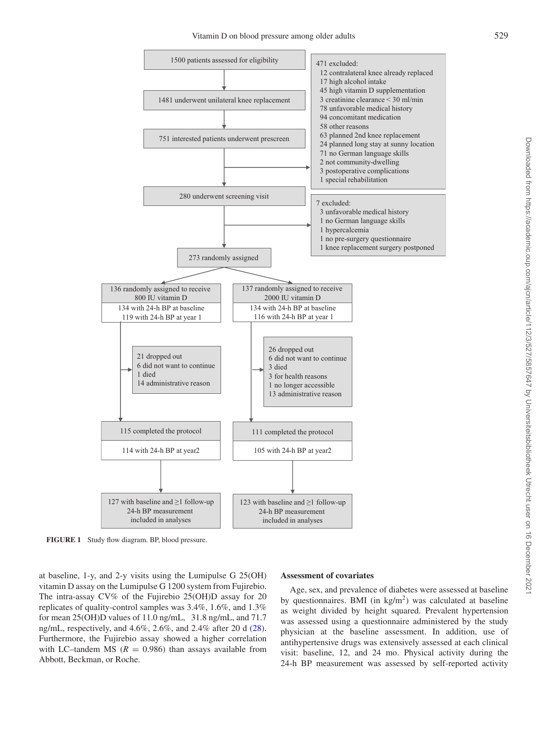Vitamin D on blood pressure among older adults 529

<span id="page-2-0"></span>

**FIGURE 1** Study flow diagram. BP, blood pressure.

at baseline, 1-y, and 2-y visits using the Lumipulse G 25(OH) vitamin D assay on the Lumipulse G 1200 system from Fujirebio. The intra-assay CV% of the Fujirebio 25(OH)D assay for 20 replicates of quality-control samples was 3.4%, 1.6%, and 1.3% for mean 25(OH)D values of 11.0 ng/mL, 31.8 ng/mL, and 71.7 ng/mL, respectively, and 4.6%, 2.6%, and 2.4% after 20 d [\(28\)](#page-10-2). Furthermore, the Fujirebio assay showed a higher correlation with LC–tandem MS  $(R = 0.986)$  than assays available from Abbott, Beckman, or Roche.

#### **Assessment of covariates**

Age, sex, and prevalence of diabetes were assessed at baseline by questionnaires. BMI (in  $kg/m<sup>2</sup>$ ) was calculated at baseline as weight divided by height squared. Prevalent hypertension was assessed using a questionnaire administered by the study physician at the baseline assessment. In addition, use of antihypertensive drugs was extensively assessed at each clinical visit: baseline, 12, and 24 mo. Physical activity during the 24-h BP measurement was assessed by self-reported activity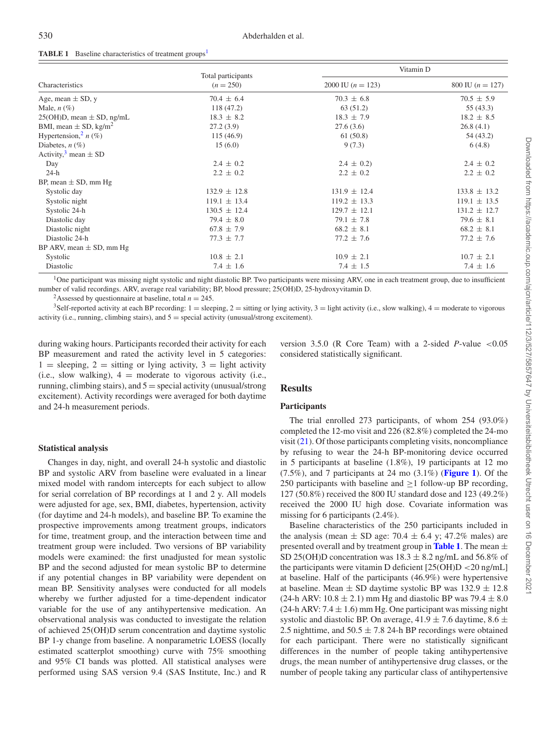|                                       | Total participants | Vitamin D           |                    |  |
|---------------------------------------|--------------------|---------------------|--------------------|--|
| Characteristics                       | $(n = 250)$        | 2000 IU $(n = 123)$ | 800 IU $(n = 127)$ |  |
| Age, mean $\pm$ SD, y                 | $70.4 \pm 6.4$     | $70.3 \pm 6.8$      | $70.5 \pm 5.9$     |  |
| Male, $n \left( \% \right)$           | 118(47.2)          | 63 (51.2)           | 55(43.3)           |  |
| $25(OH)D$ , mean $\pm SD$ , ng/mL     | $18.3 \pm 8.2$     | $18.3 \pm 7.9$      | $18.2 \pm 8.5$     |  |
| BMI, mean $\pm$ SD, kg/m <sup>2</sup> | 27.2(3.9)          | 27.6(3.6)           | 26.8(4.1)          |  |
| Hypertension, $n(\%)$                 | 115(46.9)          | 61(50.8)            | 54 (43.2)          |  |
| Diabetes, $n(\%)$                     | 15(6.0)            | 9(7.3)              | 6(4.8)             |  |
| Activity, $3$ mean $\pm$ SD           |                    |                     |                    |  |
| Day                                   | $2.4 \pm 0.2$      | $2.4 \pm 0.2$       | $2.4 \pm 0.2$      |  |
| $24-h$                                | $2.2 \pm 0.2$      | $2.2 \pm 0.2$       | $2.2 \pm 0.2$      |  |
| BP, mean $\pm$ SD, mm Hg              |                    |                     |                    |  |
| Systolic day                          | $132.9 \pm 12.8$   | $131.9 \pm 12.4$    | $133.8 \pm 13.2$   |  |
| Systolic night                        | $119.1 \pm 13.4$   | $119.2 \pm 13.3$    | $119.1 \pm 13.5$   |  |
| Systolic 24-h                         | $130.5 \pm 12.4$   | $129.7 \pm 12.1$    | $131.2 \pm 12.7$   |  |
| Diastolic day                         | $79.4 \pm 8.0$     | $79.1 \pm 7.8$      | $79.6 \pm 8.1$     |  |
| Diastolic night                       | $67.8 \pm 7.9$     | $68.2 \pm 8.1$      | $68.2 \pm 8.1$     |  |
| Diastolic 24-h                        | $77.3 \pm 7.7$     | $77.2 \pm 7.6$      | $77.2 \pm 7.6$     |  |
| BP ARV, mean $\pm$ SD, mm Hg          |                    |                     |                    |  |
| Systolic                              | $10.8 \pm 2.1$     | $10.9 \pm 2.1$      | $10.7 \pm 2.1$     |  |
| Diastolic                             | $7.4 \pm 1.6$      | $7.4 \pm 1.5$       | $7.4 \pm 1.6$      |  |

#### <span id="page-3-3"></span>**TABLE [1](#page-3-0)** Baseline characteristics of treatment groups<sup>1</sup>

<span id="page-3-0"></span><sup>1</sup>One participant was missing night systolic and night diastolic BP. Two participants were missing ARV, one in each treatment group, due to insufficient number of valid recordings. ARV, average real variability; BP, blood pressure; 25(OH)D, 25-hydroxyvitamin D.

<span id="page-3-2"></span><span id="page-3-1"></span><sup>2</sup>Assessed by questionnaire at baseline, total  $n = 245$ .<br><sup>3</sup>Self-reported activity at each BP recording: 1 = sleeping, 2 = sitting or lying activity, 3 = light activity (i.e., slow walking), 4 = moderate to vigorous activity (i.e., running, climbing stairs), and  $5 =$  special activity (unusual/strong excitement).

during waking hours. Participants recorded their activity for each BP measurement and rated the activity level in 5 categories:  $1 =$  sleeping,  $2 =$  sitting or lying activity,  $3 =$  light activity (i.e., slow walking),  $4 =$  moderate to vigorous activity (i.e., running, climbing stairs), and  $5 =$  special activity (unusual/strong excitement). Activity recordings were averaged for both daytime and 24-h measurement periods.

#### **Statistical analysis**

Changes in day, night, and overall 24-h systolic and diastolic BP and systolic ARV from baseline were evaluated in a linear mixed model with random intercepts for each subject to allow for serial correlation of BP recordings at 1 and 2 y. All models were adjusted for age, sex, BMI, diabetes, hypertension, activity (for daytime and 24-h models), and baseline BP. To examine the prospective improvements among treatment groups, indicators for time, treatment group, and the interaction between time and treatment group were included. Two versions of BP variability models were examined: the first unadjusted for mean systolic BP and the second adjusted for mean systolic BP to determine if any potential changes in BP variability were dependent on mean BP. Sensitivity analyses were conducted for all models whereby we further adjusted for a time-dependent indicator variable for the use of any antihypertensive medication. An observational analysis was conducted to investigate the relation of achieved 25(OH)D serum concentration and daytime systolic BP 1-y change from baseline. A nonparametric LOESS (locally estimated scatterplot smoothing) curve with 75% smoothing and 95% CI bands was plotted. All statistical analyses were performed using SAS version 9.4 (SAS Institute, Inc.) and R

version  $3.5.0$  (R Core Team) with a 2-sided *P*-value  $\lt 0.05$ considered statistically significant.

# **Results**

#### **Participants**

The trial enrolled 273 participants, of whom 254 (93.0%) completed the 12-mo visit and 226 (82.8%) completed the 24-mo visit  $(21)$ . Of those participants completing visits, noncompliance by refusing to wear the 24-h BP-monitoring device occurred in 5 participants at baseline (1.8%), 19 participants at 12 mo (7.5%), and 7 participants at 24 mo (3.1%) (**[Figure 1](#page-2-0)**). Of the 250 participants with baseline and  $\geq$ 1 follow-up BP recording, 127 (50.8%) received the 800 IU standard dose and 123 (49.2%) received the 2000 IU high dose. Covariate information was missing for 6 participants (2.4%).

Baseline characteristics of the 250 participants included in the analysis (mean  $\pm$  SD age: 70.4  $\pm$  6.4 y; 47.2% males) are presented overall and by treatment group in **[Table 1](#page-3-3)**. The mean  $\pm$ SD 25(OH)D concentration was  $18.3 \pm 8.2$  ng/mL and 56.8% of the participants were vitamin D deficient [25(OH)D <20 ng/mL] at baseline. Half of the participants (46.9%) were hypertensive at baseline. Mean  $\pm$  SD daytime systolic BP was 132.9  $\pm$  12.8 (24-h ARV:  $10.8 \pm 2.1$ ) mm Hg and diastolic BP was  $79.4 \pm 8.0$ (24-h ARV:  $7.4 \pm 1.6$ ) mm Hg. One participant was missing night systolic and diastolic BP. On average,  $41.9 \pm 7.6$  daytime,  $8.6 \pm$ 2.5 nighttime, and  $50.5 \pm 7.8$  24-h BP recordings were obtained for each participant. There were no statistically significant differences in the number of people taking antihypertensive drugs, the mean number of antihypertensive drug classes, or the number of people taking any particular class of antihypertensive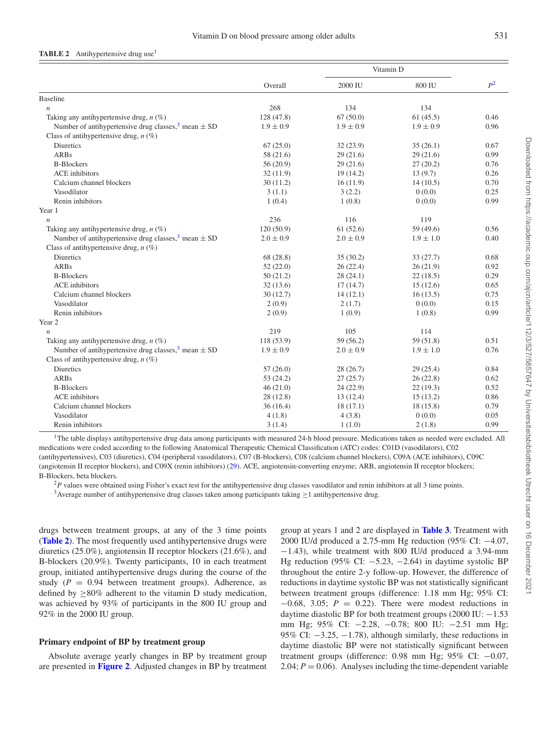#### <span id="page-4-3"></span>**TABLE 2** Antihypertensive drug use<sup>[1](#page-4-0)</sup>

|                                                            |               | Vitamin D     |               |       |
|------------------------------------------------------------|---------------|---------------|---------------|-------|
|                                                            | Overall       | 2000 IU       | 800 IU        | $P^2$ |
| <b>Baseline</b>                                            |               |               |               |       |
| $\boldsymbol{n}$                                           | 268           | 134           | 134           |       |
| Taking any antihypertensive drug, $n$ (%)                  | 128 (47.8)    | 67(50.0)      | 61(45.5)      | 0.46  |
| Number of antihypertensive drug classes, $3$ mean $\pm$ SD | $1.9 \pm 0.9$ | $1.9 \pm 0.9$ | $1.9 \pm 0.9$ | 0.96  |
| Class of antihypertensive drug, $n$ (%)                    |               |               |               |       |
| <b>Diuretics</b>                                           | 67(25.0)      | 32(23.9)      | 35(26.1)      | 0.67  |
| <b>ARBs</b>                                                | 58 (21.6)     | 29(21.6)      | 29(21.6)      | 0.99  |
| <b>B-Blockers</b>                                          | 56(20.9)      | 29(21.6)      | 27(20.2)      | 0.76  |
| <b>ACE</b> inhibitors                                      | 32(11.9)      | 19(14.2)      | 13(9.7)       | 0.26  |
| Calcium channel blockers                                   | 30(11.2)      | 16(11.9)      | 14(10.5)      | 0.70  |
| Vasodilator                                                | 3(1.1)        | 3(2.2)        | 0(0.0)        | 0.25  |
| Renin inhibitors                                           | 1(0.4)        | 1(0.8)        | 0(0.0)        | 0.99  |
| Year 1                                                     |               |               |               |       |
| $\boldsymbol{n}$                                           | 236           | 116           | 119           |       |
| Taking any antihypertensive drug, $n$ (%)                  | 120(50.9)     | 61(52.6)      | 59 (49.6)     | 0.56  |
| Number of antihypertensive drug classes, $3$ mean $\pm$ SD | $2.0 \pm 0.9$ | $2.0 \pm 0.9$ | $1.9 \pm 1.0$ | 0.40  |
| Class of antihypertensive drug, $n$ (%)                    |               |               |               |       |
| <b>Diuretics</b>                                           | 68 (28.8)     | 35(30.2)      | 33(27.7)      | 0.68  |
| <b>ARBs</b>                                                | 52(22.0)      | 26(22.4)      | 26(21.9)      | 0.92  |
| <b>B-Blockers</b>                                          | 50(21.2)      | 28(24.1)      | 22(18.5)      | 0.29  |
| <b>ACE</b> inhibitors                                      | 32(13.6)      | 17(14.7)      | 15(12.6)      | 0.65  |
| Calcium channel blockers                                   | 30(12.7)      | 14(12.1)      | 16(13.5)      | 0.75  |
| Vasodilator                                                | 2(0.9)        | 2(1.7)        | 0(0.0)        | 0.15  |
| Renin inhibitors                                           | 2(0.9)        | 1(0.9)        | 1(0.8)        | 0.99  |
| Year 2                                                     |               |               |               |       |
| $\boldsymbol{n}$                                           | 219           | 105           | 114           |       |
| Taking any antihypertensive drug, $n(\%)$                  | 118 (53.9)    | 59 (56.2)     | 59 (51.8)     | 0.51  |
| Number of antihypertensive drug classes, $3$ mean $\pm$ SD | $1.9 \pm 0.9$ | $2.0 \pm 0.9$ | $1.9 \pm 1.0$ | 0.76  |
| Class of antihypertensive drug, $n$ (%)                    |               |               |               |       |
| Diuretics                                                  | 57(26.0)      | 28(26.7)      | 29(25.4)      | 0.84  |
| <b>ARBs</b>                                                | 53(24.2)      | 27(25.7)      | 26(22.8)      | 0.62  |
| <b>B-Blockers</b>                                          | 46(21.0)      | 24 (22.9)     | 22(19.3)      | 0.52  |
| <b>ACE</b> inhibitors                                      | 28(12.8)      | 13 (12.4)     | 15(13.2)      | 0.86  |
| Calcium channel blockers                                   | 36(16.4)      | 18(17.1)      | 18(15.8)      | 0.79  |
| Vasodilator                                                | 4(1.8)        | 4(3.8)        | 0(0.0)        | 0.05  |
| Renin inhibitors                                           | 3(1.4)        | 1(1.0)        | 2(1.8)        | 0.99  |

<span id="page-4-0"></span><sup>1</sup>The table displays antihypertensive drug data among participants with measured 24-h blood pressure. Medications taken as needed were excluded. All medications were coded according to the following Anatomical Therapeutic Chemical Classification (ATC) codes: C01D (vasodilators), C02 (antihypertensives), C03 (diuretics), C04 (peripheral vasodilators), C07 (B-blockers), C08 (calcium channel blockers), C09A (ACE inhibitors), C09C (angiotensin II receptor blockers), and C09X (renin inhibitors) [\(29\)](#page-10-3). ACE, angiotensin-converting enzyme; ARB, angiotensin II receptor blockers; B-Blockers, beta blockers.

<span id="page-4-2"></span><span id="page-4-1"></span> $^{2}P$  values were obtained using Fisher's exact test for the antihypertensive drug classes vasodilator and renin inhibitors at all 3 time points. <sup>3</sup> Average number of antihypertensive drug classes taken among participants taking  $\geq$ 1 antihypertensive drug.

drugs between treatment groups, at any of the 3 time points (**[Table 2](#page-4-3)**). The most frequently used antihypertensive drugs were diuretics (25.0%), angiotensin II receptor blockers (21.6%), and B-blockers (20.9%). Twenty participants, 10 in each treatment group, initiated antihypertensive drugs during the course of the study  $(P = 0.94$  between treatment groups). Adherence, as defined by ≥80% adherent to the vitamin D study medication, was achieved by 93% of participants in the 800 IU group and 92% in the 2000 IU group.

# **Primary endpoint of BP by treatment group**

Absolute average yearly changes in BP by treatment group are presented in **[Figure 2](#page-5-0)**. Adjusted changes in BP by treatment group at years 1 and 2 are displayed in **[Table 3](#page-6-0)**. Treatment with 2000 IU/d produced a 2.75-mm Hg reduction (95% CI: −4.07, −1.43), while treatment with 800 IU/d produced a 3.94-mm Hg reduction (95% CI:  $-5.23$ ,  $-2.64$ ) in daytime systolic BP throughout the entire 2-y follow-up. However, the difference of reductions in daytime systolic BP was not statistically significant between treatment groups (difference: 1.18 mm Hg; 95% CI: −0.68, 3.05; *P* = 0.22). There were modest reductions in daytime diastolic BP for both treatment groups  $(2000 \text{ IU:} -1.53)$ mm Hg; 95% CI: −2.28, −0.78; 800 IU: −2.51 mm Hg; 95% CI: −3.25, −1.78), although similarly, these reductions in daytime diastolic BP were not statistically significant between treatment groups (difference: 0.98 mm Hg; 95% CI: −0.07, 2.04;  $P = 0.06$ ). Analyses including the time-dependent variable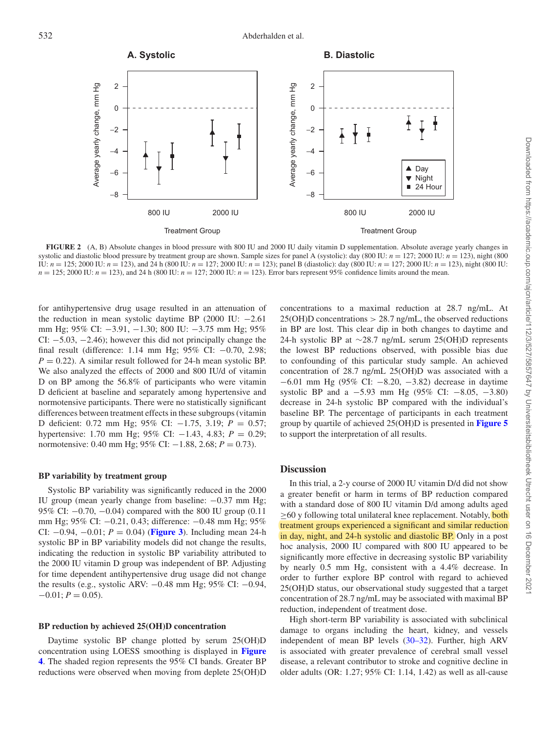<span id="page-5-0"></span>

**FIGURE 2** (A, B) Absolute changes in blood pressure with 800 IU and 2000 IU daily vitamin D supplementation. Absolute average yearly changes in systolic and diastolic blood pressure by treatment group are shown. Sample sizes for panel A (systolic): day (800 IU:  $n = 127$ ; 2000 IU:  $n = 123$ ), night (800 IU:  $n = 125$ ; 2000 IU:  $n = 123$ ), and 24 h (800 IU:  $n = 127$ ; 2000 IU:  $n = 123$ ); panel B (diastolic): day (800 IU:  $n = 127$ ; 2000 IU:  $n = 123$ ), night (800 IU: *n* = 125; 2000 IU: *n* = 123), and 24 h (800 IU: *n* = 127; 2000 IU: *n* = 123). Error bars represent 95% confidence limits around the mean.

for antihypertensive drug usage resulted in an attenuation of the reduction in mean systolic daytime BP (2000 IU: −2.61 mm Hg; 95% CI: −3.91, −1.30; 800 IU: −3.75 mm Hg; 95% CI: −5.03, −2.46); however this did not principally change the final result (difference: 1.14 mm Hg; 95% CI: −0.70, 2.98;  $P = 0.22$ ). A similar result followed for 24-h mean systolic BP. We also analyzed the effects of 2000 and 800 IU/d of vitamin D on BP among the 56.8% of participants who were vitamin D deficient at baseline and separately among hypertensive and normotensive participants. There were no statistically significant differences between treatment effects in these subgroups (vitamin D deficient: 0.72 mm Hg; 95% CI: −1.75, 3.19; *P* = 0.57; hypertensive: 1.70 mm Hg; 95% CI: −1.43, 4.83; *P* = 0.29; normotensive: 0.40 mm Hg; 95% CI: −1.88, 2.68; *P* = 0.73).

#### **BP variability by treatment group**

Systolic BP variability was significantly reduced in the 2000 IU group (mean yearly change from baseline: −0.37 mm Hg; 95% CI: −0.70, −0.04) compared with the 800 IU group (0.11 mm Hg; 95% CI: −0.21, 0.43; difference: −0.48 mm Hg; 95% CI:  $-0.94$ ,  $-0.01$ ;  $P = 0.04$ ) (**[Figure 3](#page-7-0)**). Including mean 24-h systolic BP in BP variability models did not change the results, indicating the reduction in systolic BP variability attributed to the 2000 IU vitamin D group was independent of BP. Adjusting for time dependent antihypertensive drug usage did not change the results (e.g., systolic ARV: −0.48 mm Hg; 95% CI: −0.94,  $-0.01; P = 0.05$ .

#### **BP reduction by achieved 25(OH)D concentration**

Daytime systolic BP change plotted by serum 25(OH)D concentration using LOESS smoothing is displayed in **Figure 4**[. The shaded region represents the 95% CI bands. Greater BP](#page-7-1) reductions were observed when moving from deplete 25(OH)D

concentrations to a maximal reduction at 28.7 ng/mL. At  $25(OH)D$  concentrations  $> 28.7$  ng/mL, the observed reductions in BP are lost. This clear dip in both changes to daytime and 24-h systolic BP at ∼28.7 ng/mL serum 25(OH)D represents the lowest BP reductions observed, with possible bias due to confounding of this particular study sample. An achieved concentration of 28.7 ng/mL 25(OH)D was associated with a −6.01 mm Hg (95% CI: −8.20, −3.82) decrease in daytime systolic BP and a −5.93 mm Hg (95% CI: −8.05, −3.80) decrease in 24-h systolic BP compared with the individual's baseline BP. The percentage of participants in each treatment group by quartile of achieved 25(OH)D is presented in **[Figure 5](#page-8-0)** to support the interpretation of all results.

# **Discussion**

In this trial, a 2-y course of 2000 IU vitamin D/d did not show a greater benefit or harm in terms of BP reduction compared with a standard dose of 800 IU vitamin D/d among adults aged ≥60 y following total unilateral knee replacement. Notably, **both** treatment groups experienced a significant and similar reduction in day, night, and 24-h systolic and diastolic BP. Only in a post hoc analysis, 2000 IU compared with 800 IU appeared to be significantly more effective in decreasing systolic BP variability by nearly 0.5 mm Hg, consistent with a 4.4% decrease. In order to further explore BP control with regard to achieved 25(OH)D status, our observational study suggested that a target concentration of 28.7 ng/mL may be associated with maximal BP reduction, independent of treatment dose.

High short-term BP variability is associated with subclinical damage to organs including the heart, kidney, and vessels independent of mean BP levels [\(30–32\)](#page-10-4). Further, high ARV is associated with greater prevalence of cerebral small vessel disease, a relevant contributor to stroke and cognitive decline in older adults (OR: 1.27; 95% CI: 1.14, 1.42) as well as all-cause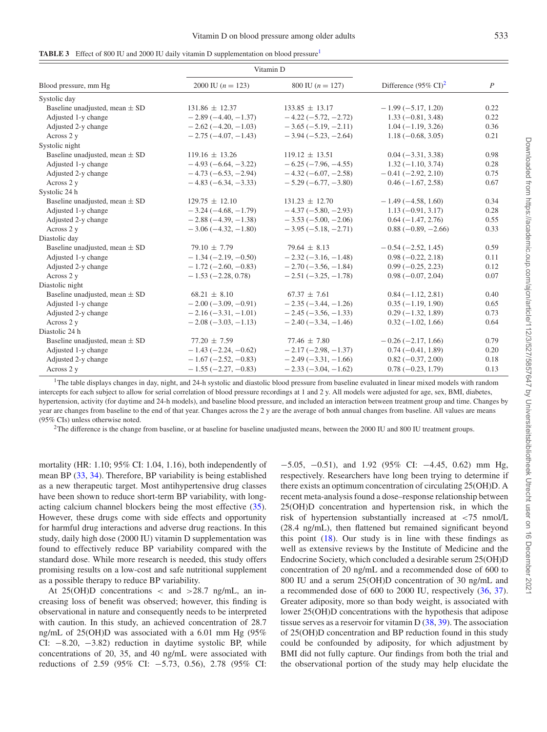<span id="page-6-0"></span>

| <b>TABLE 3</b> Effect of 800 IU and 2000 IU daily vitamin D supplementation on blood pressure <sup>1</sup> |  |  |  |  |  |
|------------------------------------------------------------------------------------------------------------|--|--|--|--|--|
|------------------------------------------------------------------------------------------------------------|--|--|--|--|--|

|                                    | Vitamin D             |                                                        |                       | $\boldsymbol{P}$ |
|------------------------------------|-----------------------|--------------------------------------------------------|-----------------------|------------------|
| Blood pressure, mm Hg              | 2000 IU $(n = 123)$   | Difference $(95\% \text{ CI})^2$<br>800 IU $(n = 127)$ |                       |                  |
| Systolic day                       |                       |                                                        |                       |                  |
| Baseline unadjusted, mean $\pm$ SD | $131.86 \pm 12.37$    | $133.85 \pm 13.17$                                     | $-1.99(-5.17, 1.20)$  | 0.22             |
| Adjusted 1-y change                | $-2.89(-4.40,-1.37)$  | $-4.22(-5.72, -2.72)$                                  | $1.33(-0.81, 3.48)$   | 0.22             |
| Adjusted 2-y change                | $-2.62(-4.20,-1.03)$  | $-3.65(-5.19, -2.11)$                                  | $1.04(-1.19, 3.26)$   | 0.36             |
| Across 2 y                         | $-2.75(-4.07,-1.43)$  | $-3.94(-5.23, -2.64)$                                  | $1.18(-0.68, 3.05)$   | 0.21             |
| Systolic night                     |                       |                                                        |                       |                  |
| Baseline unadjusted, mean $\pm$ SD | $119.16 \pm 13.26$    | $119.12 \pm 13.51$                                     | $0.04 (-3.31, 3.38)$  | 0.98             |
| Adjusted 1-y change                | $-4.93(-6.64, -3.22)$ | $-6.25(-7.96, -4.55)$                                  | $1.32(-1.10, 3.74)$   | 0.28             |
| Adjusted 2-y change                | $-4.73(-6.53,-2.94)$  | $-4.32(-6.07, -2.58)$                                  | $-0.41(-2.92, 2.10)$  | 0.75             |
| Across 2 y                         | $-4.83(-6.34, -3.33)$ | $-5.29(-6.77, -3.80)$                                  | $0.46(-1.67, 2.58)$   | 0.67             |
| Systolic 24 h                      |                       |                                                        |                       |                  |
| Baseline unadjusted, mean $\pm$ SD | $129.75 \pm 12.10$    | $131.23 \pm 12.70$                                     | $-1.49(-4.58, 1.60)$  | 0.34             |
| Adjusted 1-y change                | $-3.24(-4.68,-1.79)$  | $-4.37(-5.80, -2.93)$                                  | $1.13(-0.91, 3.17)$   | 0.28             |
| Adjusted 2-y change                | $-2.88(-4.39, -1.38)$ | $-3.53(-5.00, -2.06)$                                  | $0.64(-1.47, 2.76)$   | 0.55             |
| Across 2 y                         | $-3.06(-4.32, -1.80)$ | $-3.95(-5.18, -2.71)$                                  | $0.88 (-0.89, -2.66)$ | 0.33             |
| Diastolic day                      |                       |                                                        |                       |                  |
| Baseline unadjusted, mean $\pm$ SD | $79.10 \pm 7.79$      | $79.64 \pm 8.13$                                       | $-0.54(-2.52, 1.45)$  | 0.59             |
| Adjusted 1-y change                | $-1.34(-2.19, -0.50)$ | $-2.32(-3.16, -1.48)$                                  | $0.98 (-0.22, 2.18)$  | 0.11             |
| Adjusted 2-y change                | $-1.72(-2.60,-0.83)$  | $-2.70(-3.56, -1.84)$                                  | $0.99(-0.25, 2.23)$   | 0.12             |
| Across 2 y                         | $-1.53(-2.28, 0.78)$  | $-2.51(-3.25, -1.78)$                                  | $0.98(-0.07, 2.04)$   | 0.07             |
| Diastolic night                    |                       |                                                        |                       |                  |
| Baseline unadjusted, mean $\pm$ SD | $68.21 \pm 8.10$      | $67.37 \pm 7.61$                                       | $0.84(-1.12, 2.81)$   | 0.40             |
| Adjusted 1-y change                | $-2.00(-3.09, -0.91)$ | $-2.35(-3.44, -1.26)$                                  | $0.35(-1.19, 1.90)$   | 0.65             |
| Adjusted 2-y change                | $-2.16(-3.31,-1.01)$  | $-2.45(-3.56, -1.33)$                                  | $0.29(-1.32, 1.89)$   | 0.73             |
| Across 2 y                         | $-2.08(-3.03,-1.13)$  | $-2.40(-3.34, -1.46)$                                  | $0.32(-1.02, 1.66)$   | 0.64             |
| Diastolic 24 h                     |                       |                                                        |                       |                  |
| Baseline unadjusted, mean $\pm$ SD | $77.20 \pm 7.59$      | $77.46 \pm 7.80$                                       | $-0.26(-2.17, 1.66)$  | 0.79             |
| Adjusted 1-y change                | $-1.43(-2.24, -0.62)$ | $-2.17(-2.98, -1.37)$                                  | $0.74(-0.41, 1.89)$   | 0.20             |
| Adjusted 2-y change                | $-1.67(-2.52,-0.83)$  | $-2.49(-3.31, -1.66)$                                  | $0.82(-0.37, 2.00)$   | 0.18             |
| Across 2 y                         | $-1.55(-2.27, -0.83)$ | $-2.33(-3.04, -1.62)$                                  | $0.78(-0.23, 1.79)$   | 0.13             |

<span id="page-6-1"></span><sup>1</sup>The table displays changes in day, night, and 24-h systolic and diastolic blood pressure from baseline evaluated in linear mixed models with random intercepts for each subject to allow for serial correlation of blood pressure recordings at 1 and 2 y. All models were adjusted for age, sex, BMI, diabetes, hypertension, activity (for daytime and 24-h models), and baseline blood pressure, and included an interaction between treatment group and time. Changes by year are changes from baseline to the end of that year. Changes across the 2 y are the average of both annual changes from baseline. All values are means (95% CIs) unless otherwise noted.

<span id="page-6-2"></span><sup>2</sup>The difference is the change from baseline, or at baseline for baseline unadjusted means, between the 2000 IU and 800 IU treatment groups.

mortality (HR: 1.10; 95% CI: 1.04, 1.16), both independently of mean BP [\(33,](#page-10-5) [34\)](#page-10-6). Therefore, BP variability is being established as a new therapeutic target. Most antihypertensive drug classes have been shown to reduce short-term BP variability, with longacting calcium channel blockers being the most effective [\(35\)](#page-10-7). However, these drugs come with side effects and opportunity for harmful drug interactions and adverse drug reactions. In this study, daily high dose (2000 IU) vitamin D supplementation was found to effectively reduce BP variability compared with the standard dose. While more research is needed, this study offers promising results on a low-cost and safe nutritional supplement as a possible therapy to reduce BP variability.

At  $25(OH)D$  concentrations < and >28.7 ng/mL, an increasing loss of benefit was observed; however, this finding is observational in nature and consequently needs to be interpreted with caution. In this study, an achieved concentration of 28.7 ng/mL of 25(OH)D was associated with a 6.01 mm Hg (95% CI: −8.20, −3.82) reduction in daytime systolic BP, while concentrations of 20, 35, and 40 ng/mL were associated with reductions of 2.59 (95% CI: −5.73, 0.56), 2.78 (95% CI: −5.05, −0.51), and 1.92 (95% CI: −4.45, 0.62) mm Hg, respectively. Researchers have long been trying to determine if there exists an optimum concentration of circulating 25(OH)D. A recent meta-analysis found a dose–response relationship between 25(OH)D concentration and hypertension risk, in which the risk of hypertension substantially increased at <75 nmol/L (28.4 ng/mL), then flattened but remained significant beyond this point  $(18)$ . Our study is in line with these findings as well as extensive reviews by the Institute of Medicine and the Endocrine Society, which concluded a desirable serum 25(OH)D concentration of 20 ng/mL and a recommended dose of 600 to 800 IU and a serum 25(OH)D concentration of 30 ng/mL and a recommended dose of 600 to 2000 IU, respectively [\(36,](#page-10-8) [37\)](#page-10-9). Greater adiposity, more so than body weight, is associated with lower 25(OH)D concentrations with the hypothesis that adipose tissue serves as a reservoir for vitamin D [\(38,](#page-10-10) [39\)](#page-10-11). The association of 25(OH)D concentration and BP reduction found in this study could be confounded by adiposity, for which adjustment by BMI did not fully capture. Our findings from both the trial and the observational portion of the study may help elucidate the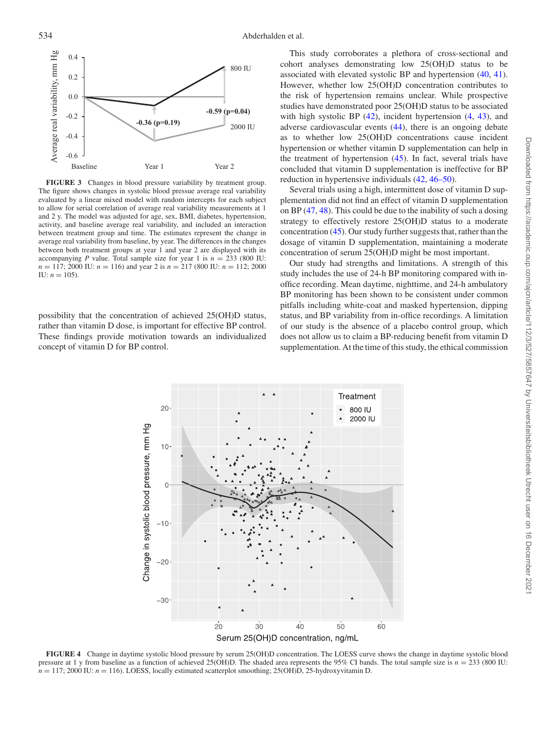<span id="page-7-0"></span>

**FIGURE 3** Changes in blood pressure variability by treatment group. The figure shows changes in systolic blood pressue average real variability evaluated by a linear mixed model with random intercepts for each subject to allow for serial correlation of average real variability measurements at 1 and 2 y. The model was adjusted for age, sex, BMI, diabetes, hypertension, activity, and baseline average real variability, and included an interaction between treatment group and time. The estimates represent the change in average real variability from baseline, by year. The differences in the changes between both treatment groups at year 1 and year 2 are displayed with its accompanying *P* value. Total sample size for year 1 is  $n = 233$  (800 IU: *n* = 117; 2000 IU: *n* = 116) and year 2 is *n* = 217 (800 IU: *n* = 112; 2000 IU:  $n = 105$ ).

<span id="page-7-1"></span>possibility that the concentration of achieved 25(OH)D status, rather than vitamin D dose, is important for effective BP control. These findings provide motivation towards an individualized concept of vitamin D for BP control.

This study corroborates a plethora of cross-sectional and cohort analyses demonstrating low 25(OH)D status to be associated with elevated systolic BP and hypertension [\(40,](#page-10-12) [41\)](#page-10-13). However, whether low 25(OH)D concentration contributes to the risk of hypertension remains unclear. While prospective studies have demonstrated poor 25(OH)D status to be associated with high systolic BP  $(42)$ , incident hypertension  $(4, 43)$  $(4, 43)$  $(4, 43)$ , and adverse cardiovascular events [\(44\)](#page-10-16), there is an ongoing debate as to whether low 25(OH)D concentrations cause incident hypertension or whether vitamin D supplementation can help in the treatment of hypertension [\(45\)](#page-10-17). In fact, several trials have concluded that vitamin D supplementation is ineffective for BP reduction in hypertensive individuals [\(42,](#page-10-14) [46–50\)](#page-10-18).

Several trials using a high, intermittent dose of vitamin D supplementation did not find an effect of vitamin D supplementation on BP [\(47,](#page-10-19) [48\)](#page-10-20). This could be due to the inability of such a dosing strategy to effectively restore 25(OH)D status to a moderate concentration [\(45\)](#page-10-17). Our study further suggests that, rather than the dosage of vitamin D supplementation, maintaining a moderate concentration of serum 25(OH)D might be most important.

Our study had strengths and limitations. A strength of this study includes the use of 24-h BP monitoring compared with inoffice recording. Mean daytime, nighttime, and 24-h ambulatory BP monitoring has been shown to be consistent under common pitfalls including white-coat and masked hypertension, dipping status, and BP variability from in-office recordings. A limitation of our study is the absence of a placebo control group, which does not allow us to claim a BP-reducing benefit from vitamin D supplementation. At the time of this study, the ethical commission



**FIGURE 4** Change in daytime systolic blood pressure by serum 25(OH)D concentration. The LOESS curve shows the change in daytime systolic blood pressure at 1 y from baseline as a function of achieved 25(OH)D. The shaded area represents the 95% CI bands. The total sample size is *n* = 233 (800 IU:  $n = 117$ ; 2000 IU:  $n = 116$ ). LOESS, locally estimated scatterplot smoothing; 25(OH)D, 25-hydroxyvitamin D.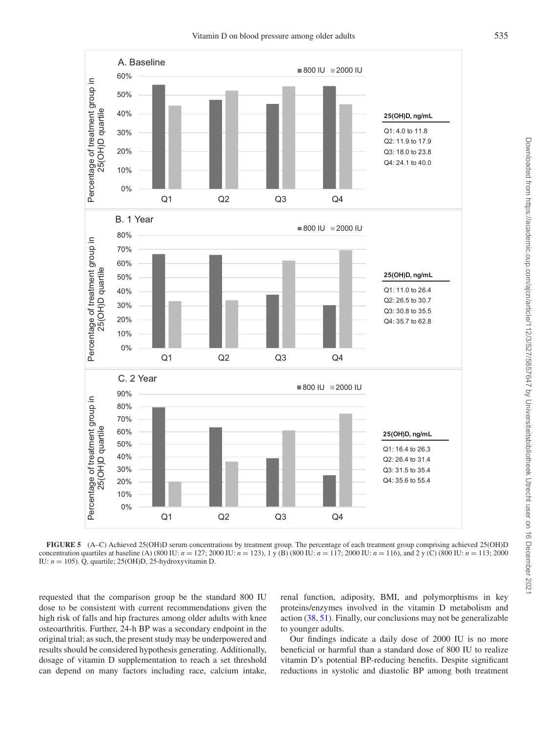<span id="page-8-0"></span>

**FIGURE 5** (A–C) Achieved 25(OH)D serum concentrations by treatment group. The percentage of each treatment group comprising achieved 25(OH)D concentration quartiles at baseline (A) (800 IU:  $n = 127$ ; 2000 IU:  $n = 123$ ), 1 y (B) (800 IU:  $n = 117$ ; 2000 IU:  $n = 116$ ), and 2 y (C) (800 IU:  $n = 113$ ; 2000 IU: *n* = 105). Q, quartile; 25(OH)D, 25-hydroxyvitamin D.

requested that the comparison group be the standard 800 IU dose to be consistent with current recommendations given the high risk of falls and hip fractures among older adults with knee osteoarthritis. Further, 24-h BP was a secondary endpoint in the original trial; as such, the present study may be underpowered and results should be considered hypothesis generating. Additionally, dosage of vitamin D supplementation to reach a set threshold can depend on many factors including race, calcium intake, renal function, adiposity, BMI, and polymorphisms in key proteins/enzymes involved in the vitamin D metabolism and action [\(38,](#page-10-10) [51\)](#page-10-21). Finally, our conclusions may not be generalizable to younger adults.

Our findings indicate a daily dose of 2000 IU is no more beneficial or harmful than a standard dose of 800 IU to realize vitamin D's potential BP-reducing benefits. Despite significant reductions in systolic and diastolic BP among both treatment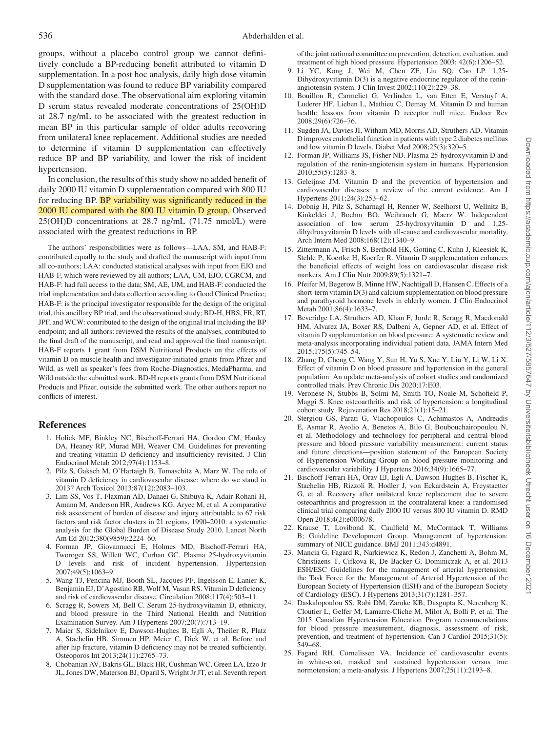groups, without a placebo control group we cannot definitively conclude a BP-reducing benefit attributed to vitamin D supplementation. In a post hoc analysis, daily high dose vitamin D supplementation was found to reduce BP variability compared with the standard dose. The observational aim exploring vitamin D serum status revealed moderate concentrations of 25(OH)D at 28.7 ng/mL to be associated with the greatest reduction in mean BP in this particular sample of older adults recovering from unilateral knee replacement. Additional studies are needed to determine if vitamin D supplementation can effectively reduce BP and BP variability, and lower the risk of incident hypertension.

In conclusion, the results of this study show no added benefit of daily 2000 IU vitamin D supplementation compared with 800 IU for reducing BP. BP variability was significantly reduced in the 2000 IU compared with the 800 IU vitamin D group. Observed 25(OH)D concentrations at 28.7 ng/mL (71.75 nmol/L) were associated with the greatest reductions in BP.

The authors' responsibilities were as follows—LAA, SM, and HAB-F: contributed equally to the study and drafted the manuscript with input from all co-authors; LAA: conducted statistical analyses with input from EJO and HAB-F, which were reviewed by all authors; LAA, UM, EJO, CGRCM, and HAB-F: had full access to the data; SM, AE, UM, and HAB-F: conducted the trial implementation and data collection according to Good Clinical Practice; HAB-F: is the principal investigator responsible for the design of the original trial, this ancillary BP trial, and the observational study; BD-H, HBS, FR, RT, JPF, and WCW: contributed to the design of the original trial including the BP endpoint; and all authors: reviewed the results of the analyses, contributed to the final draft of the manuscript, and read and approved the final manuscript. HAB-F reports 1 grant from DSM Nutritional Products on the effects of vitamin D on muscle health and investigator-initiated grants from Pfizer and Wild, as well as speaker's fees from Roche-Diagnostics, MedaPharma, and Wild outside the submitted work. BD-H reports grants from DSM Nutritional Products and Pfizer, outside the submitted work. The other authors report no conflicts of interest.

# **References**

- <span id="page-9-0"></span>1. Holick MF, Binkley NC, Bischoff-Ferrari HA, Gordon CM, Hanley DA, Heaney RP, Murad MH, Weaver CM. Guidelines for preventing and treating vitamin D deficiency and insufficiency revisited. J Clin Endocrinol Metab 2012;97(4):1153–8.
- <span id="page-9-1"></span>2. Pilz S, Gaksch M, O'Hartaigh B, Tomaschitz A, Marz W. The role of vitamin D deficiency in cardiovascular disease: where do we stand in 2013? Arch Toxicol 2013;87(12):2083–103.
- <span id="page-9-2"></span>3. Lim SS, Vos T, Flaxman AD, Danaei G, Shibuya K, Adair-Rohani H, Amann M, Anderson HR, Andrews KG, Aryee M, et al. A comparative risk assessment of burden of disease and injury attributable to 67 risk factors and risk factor clusters in 21 regions, 1990–2010: a systematic analysis for the Global Burden of Disease Study 2010. Lancet North Am Ed 2012;380(9859):2224–60.
- <span id="page-9-3"></span>4. Forman JP, Giovannucci E, Holmes MD, Bischoff-Ferrari HA, Tworoger SS, Willett WC, Curhan GC. Plasma 25-hydroxyvitamin D levels and risk of incident hypertension. Hypertension 2007;49(5):1063–9.
- 5. Wang TJ, Pencina MJ, Booth SL, Jacques PF, Ingelsson E, Lanier K, Benjamin EJ, D'Agostino RB, Wolf M, Vasan RS. Vitamin D deficiency and risk of cardiovascular disease. Circulation 2008;117(4):503–11.
- 6. Scragg R, Sowers M, Bell C. Serum 25-hydroxyvitamin D, ethnicity, and blood pressure in the Third National Health and Nutrition Examination Survey. Am J Hypertens 2007;20(7):713–19.
- 7. Maier S, Sidelnikov E, Dawson-Hughes B, Egli A, Theiler R, Platz A, Staehelin HB, Simmen HP, Meier C, Dick W, et al. Before and after hip fracture, vitamin D deficiency may not be treated sufficiently. Osteoporos Int 2013;24(11):2765–73.
- 8. Chobanian AV, Bakris GL, Black HR, Cushman WC, Green LA, Izzo Jr JL, Jones DW, Materson BJ, Oparil S, Wright Jr JT, et al. Seventh report

of the joint national committee on prevention, detection, evaluation, and treatment of high blood pressure. Hypertension 2003; 42(6):1206–52.

- <span id="page-9-4"></span>9. Li YC, Kong J, Wei M, Chen ZF, Liu SQ, Cao LP. 1,25- Dihydroxyvitamin D(3) is a negative endocrine regulator of the reninangiotensin system. J Clin Invest 2002;110(2):229–38.
- <span id="page-9-5"></span>10. Bouillon R, Carmeliet G, Verlinden L, van Etten E, Verstuyf A, Luderer HF, Lieben L, Mathieu C, Demay M. Vitamin D and human health: lessons from vitamin D receptor null mice. Endocr Rev 2008;29(6):726–76.
- <span id="page-9-6"></span>11. Sugden JA, Davies JI, Witham MD, Morris AD, Struthers AD. Vitamin D improves endothelial function in patients with type 2 diabetes mellitus and low vitamin D levels. Diabet Med 2008;25(3):320–5.
- <span id="page-9-7"></span>12. Forman JP, Williams JS, Fisher ND. Plasma 25-hydroxyvitamin D and regulation of the renin-angiotensin system in humans. Hypertension 2010;55(5):1283–8.
- <span id="page-9-8"></span>13. Geleijnse JM. Vitamin D and the prevention of hypertension and cardiovascular diseases: a review of the current evidence. Am J Hypertens 2011;24(3):253–62.
- <span id="page-9-9"></span>14. Dobnig H, Pilz S, Scharnagl H, Renner W, Seelhorst U, Wellnitz B, Kinkeldei J, Boehm BO, Weihrauch G, Maerz W. Independent association of low serum 25-hydroxyvitamin D and 1,25 dihydroxyvitamin D levels with all-cause and cardiovascular mortality. Arch Intern Med 2008;168(12):1340–9.
- <span id="page-9-10"></span>15. Zittermann A, Frisch S, Berthold HK, Gotting C, Kuhn J, Kleesiek K, Stehle P, Koertke H, Koerfer R. Vitamin D supplementation enhances the beneficial effects of weight loss on cardiovascular disease risk markers. Am J Clin Nutr 2009;89(5):1321–7.
- <span id="page-9-11"></span>16. Pfeifer M, Begerow B, Minne HW, Nachtigall D, Hansen C. Effects of a short-term vitamin D(3) and calcium supplementation on blood pressure and parathyroid hormone levels in elderly women. J Clin Endocrinol Metab 2001;86(4):1633–7.
- <span id="page-9-12"></span>17. Beveridge LA, Struthers AD, Khan F, Jorde R, Scragg R, Macdonald HM, Alvarez JA, Boxer RS, Dalbeni A, Gepner AD, et al. Effect of vitamin D supplementation on blood pressure: A systematic review and meta-analysis incorporating individual patient data. JAMA Intern Med 2015;175(5):745–54.
- <span id="page-9-13"></span>18. Zhang D, Cheng C, Wang Y, Sun H, Yu S, Xue Y, Liu Y, Li W, Li X. Effect of vitamin D on blood pressure and hypertension in the general population: An update meta-analysis of cohort studies and randomized controlled trials. Prev Chronic Dis 2020;17:E03.
- <span id="page-9-14"></span>19. Veronese N, Stubbs B, Solmi M, Smith TO, Noale M, Schofield P, Maggi S. Knee osteoarthritis and risk of hypertension: a longitudinal cohort study. Rejuvenation Res 2018;21(1):15–21.
- <span id="page-9-15"></span>20. Stergiou GS, Parati G, Vlachopoulos C, Achimastos A, Andreadis E, Asmar R, Avolio A, Benetos A, Bilo G, Boubouchairopoulou N, et al. Methodology and technology for peripheral and central blood pressure and blood pressure variability measurement: current status and future directions—position statement of the European Society of Hypertension Working Group on blood pressure monitoring and cardiovascular variability. J Hypertens 2016;34(9):1665–77.
- <span id="page-9-16"></span>21. Bischoff-Ferrari HA, Orav EJ, Egli A, Dawson-Hughes B, Fischer K, Staehelin HB, Rizzoli R, Hodler J, von Eckardstein A, Freystaetter G, et al. Recovery after unilateral knee replacement due to severe osteoarthritis and progression in the contralateral knee: a randomised clinical trial comparing daily 2000 IU versus 800 IU vitamin D. RMD Open 2018;4(2):e000678.
- <span id="page-9-17"></span>22. Krause T, Lovibond K, Caulfield M, McCormack T, Williams B; Guideline Development Group. Management of hypertension: summary of NICE guidance. BMJ 2011;343:d4891.
- 23. Mancia G, Fagard R, Narkiewicz K, Redon J, Zanchetti A, Bohm M, Christiaens T, Cifkova R, De Backer G, Dominiczak A, et al. 2013 ESH/ESC Guidelines for the management of arterial hypertension: the Task Force for the Management of Arterial Hypertension of the European Society of Hypertension (ESH) and of the European Society of Cardiology (ESC). J Hypertens 2013;31(7):1281–357.
- 24. Daskalopoulou SS, Rabi DM, Zarnke KB, Dasgupta K, Nerenberg K, Cloutier L, Gelfer M, Lamarre-Cliche M, Milot A, Bolli P, et al. The 2015 Canadian Hypertension Education Program recommendations for blood pressure measurement, diagnosis, assessment of risk, prevention, and treatment of hypertension. Can J Cardiol 2015;31(5): 549–68.
- <span id="page-9-18"></span>25. Fagard RH, Cornelissen VA. Incidence of cardiovascular events in white-coat, masked and sustained hypertension versus true normotension: a meta-analysis. J Hypertens 2007;25(11):2193–8.